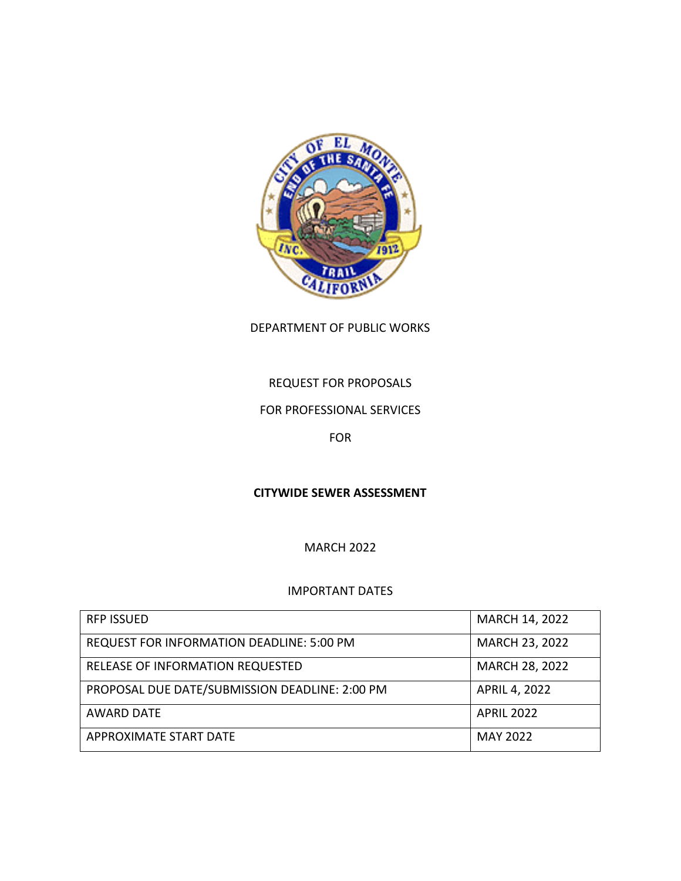

DEPARTMENT OF PUBLIC WORKS

# REQUEST FOR PROPOSALS

### FOR PROFESSIONAL SERVICES

FOR

### **CITYWIDE SEWER ASSESSMENT**

MARCH 2022

#### IMPORTANT DATES

| <b>RFP ISSUED</b>                                | <b>MARCH 14, 2022</b> |
|--------------------------------------------------|-----------------------|
| <b>REQUEST FOR INFORMATION DEADLINE: 5:00 PM</b> | <b>MARCH 23, 2022</b> |
| RELEASE OF INFORMATION REQUESTED                 | MARCH 28, 2022        |
| PROPOSAL DUE DATE/SUBMISSION DEADLINE: 2:00 PM   | APRIL 4, 2022         |
| <b>AWARD DATE</b>                                | <b>APRIL 2022</b>     |
| APPROXIMATE START DATE                           | <b>MAY 2022</b>       |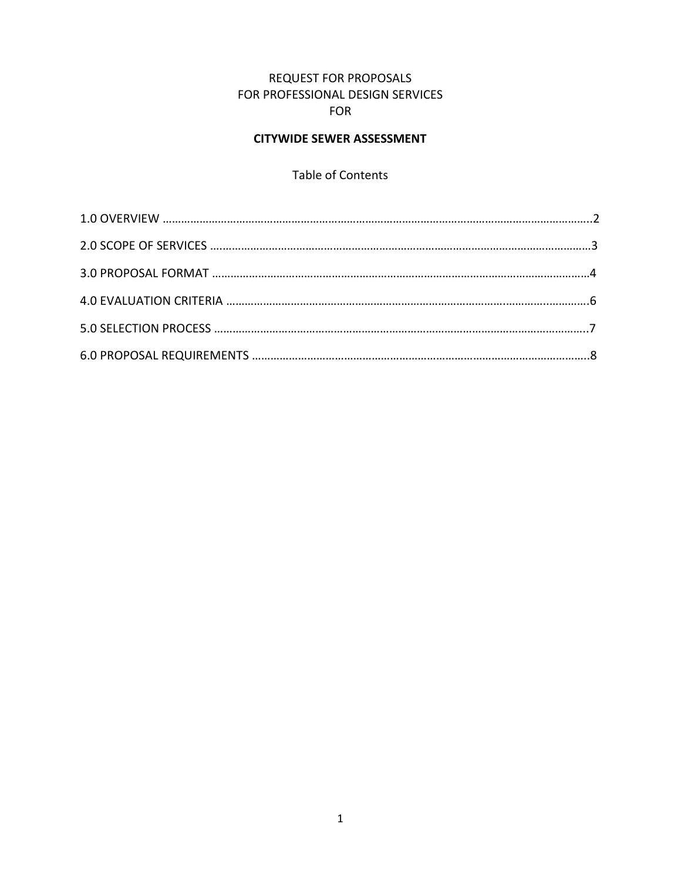## REQUEST FOR PROPOSALS FOR PROFESSIONAL DESIGN SERVICES FOR

# **CITYWIDE SEWER ASSESSMENT**

# Table of Contents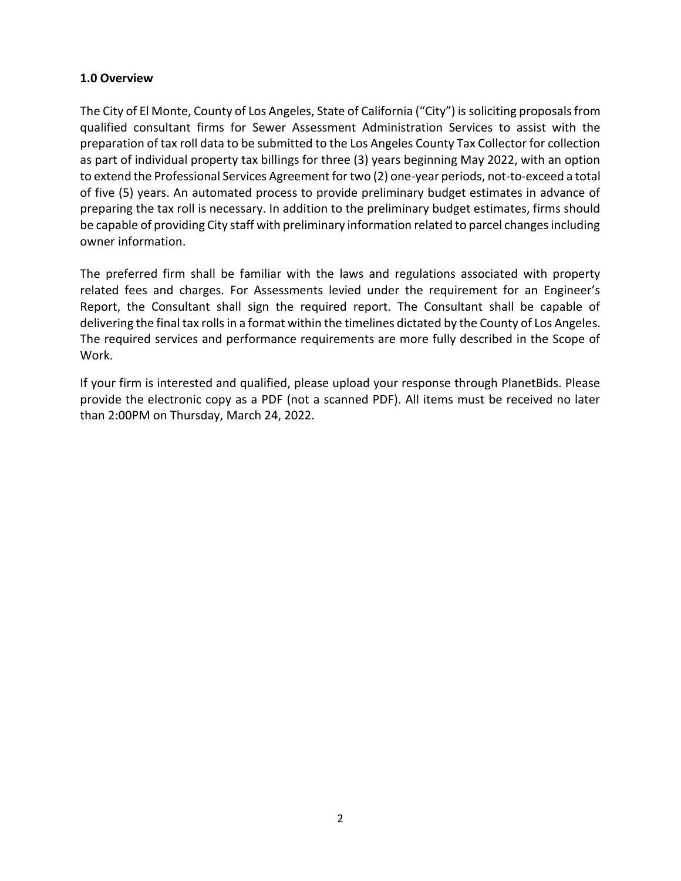#### **1.0 Overview**

The City of El Monte, County of Los Angeles, State of California ("City") is soliciting proposals from qualified consultant firms for Sewer Assessment Administration Services to assist with the preparation of tax roll data to be submitted to the Los Angeles County Tax Collector for collection as part of individual property tax billings for three (3) years beginning May 2022, with an option to extend the Professional Services Agreement for two (2) one-year periods, not-to-exceed a total of five (5) years. An automated process to provide preliminary budget estimates in advance of preparing the tax roll is necessary. In addition to the preliminary budget estimates, firms should be capable of providing City staff with preliminary information related to parcel changes including owner information.

The preferred firm shall be familiar with the laws and regulations associated with property related fees and charges. For Assessments levied under the requirement for an Engineer's Report, the Consultant shall sign the required report. The Consultant shall be capable of delivering the final tax rolls in a format within the timelines dictated by the County of Los Angeles. The required services and performance requirements are more fully described in the Scope of Work.

If your firm is interested and qualified, please upload your response through PlanetBids. Please provide the electronic copy as a PDF (not a scanned PDF). All items must be received no later than 2:00PM on Thursday, March 24, 2022.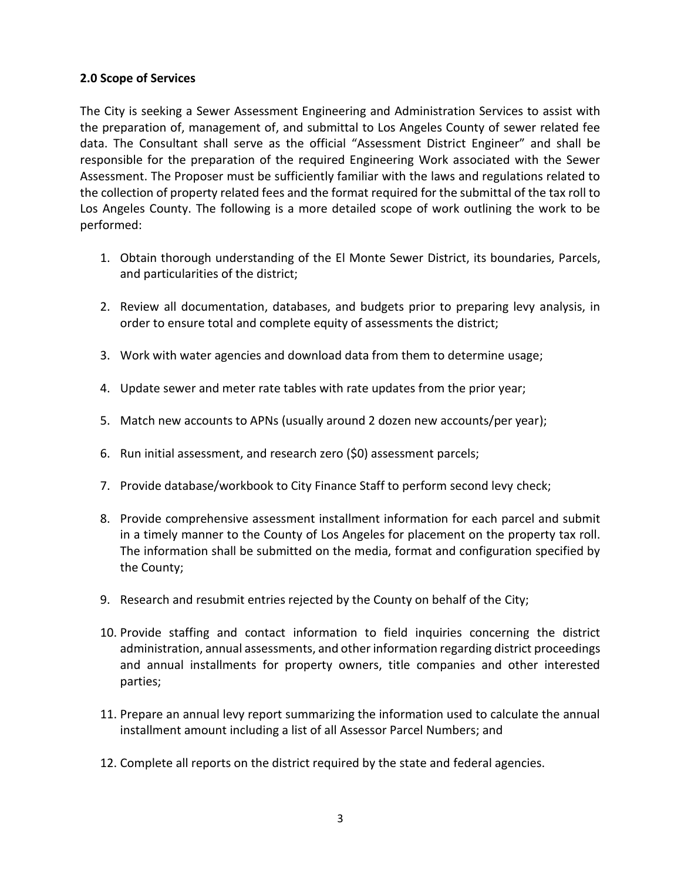#### **2.0 Scope of Services**

The City is seeking a Sewer Assessment Engineering and Administration Services to assist with the preparation of, management of, and submittal to Los Angeles County of sewer related fee data. The Consultant shall serve as the official "Assessment District Engineer" and shall be responsible for the preparation of the required Engineering Work associated with the Sewer Assessment. The Proposer must be sufficiently familiar with the laws and regulations related to the collection of property related fees and the format required for the submittal of the tax roll to Los Angeles County. The following is a more detailed scope of work outlining the work to be performed:

- 1. Obtain thorough understanding of the El Monte Sewer District, its boundaries, Parcels, and particularities of the district;
- 2. Review all documentation, databases, and budgets prior to preparing levy analysis, in order to ensure total and complete equity of assessments the district;
- 3. Work with water agencies and download data from them to determine usage;
- 4. Update sewer and meter rate tables with rate updates from the prior year;
- 5. Match new accounts to APNs (usually around 2 dozen new accounts/per year);
- 6. Run initial assessment, and research zero (\$0) assessment parcels;
- 7. Provide database/workbook to City Finance Staff to perform second levy check;
- 8. Provide comprehensive assessment installment information for each parcel and submit in a timely manner to the County of Los Angeles for placement on the property tax roll. The information shall be submitted on the media, format and configuration specified by the County;
- 9. Research and resubmit entries rejected by the County on behalf of the City;
- 10. Provide staffing and contact information to field inquiries concerning the district administration, annual assessments, and other information regarding district proceedings and annual installments for property owners, title companies and other interested parties;
- 11. Prepare an annual levy report summarizing the information used to calculate the annual installment amount including a list of all Assessor Parcel Numbers; and
- 12. Complete all reports on the district required by the state and federal agencies.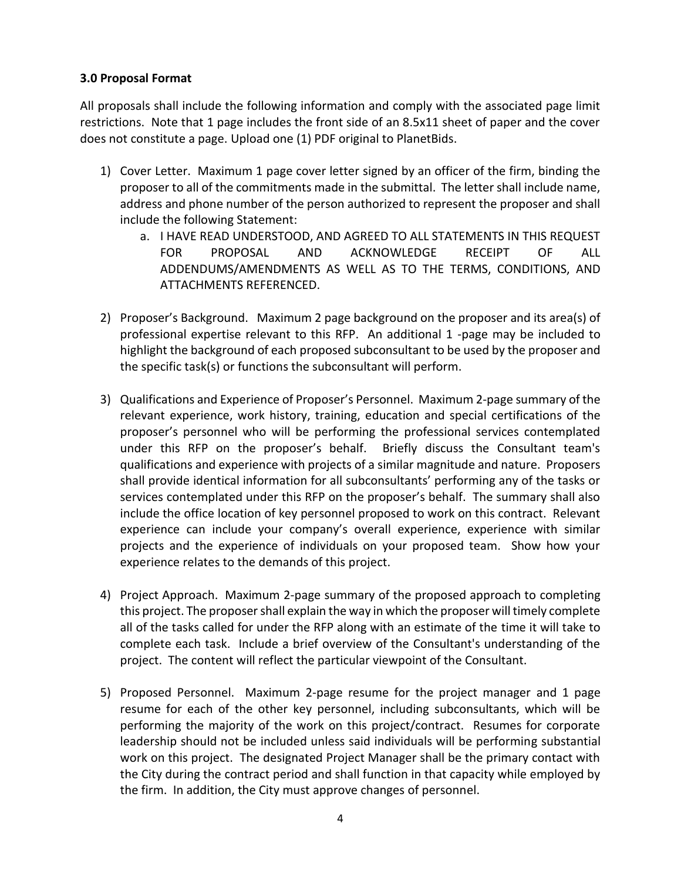#### **3.0 Proposal Format**

All proposals shall include the following information and comply with the associated page limit restrictions. Note that 1 page includes the front side of an 8.5x11 sheet of paper and the cover does not constitute a page. Upload one (1) PDF original to PlanetBids.

- 1) Cover Letter. Maximum 1 page cover letter signed by an officer of the firm, binding the proposer to all of the commitments made in the submittal. The letter shall include name, address and phone number of the person authorized to represent the proposer and shall include the following Statement:
	- a. I HAVE READ UNDERSTOOD, AND AGREED TO ALL STATEMENTS IN THIS REQUEST FOR PROPOSAL AND ACKNOWLEDGE RECEIPT OF ALL ADDENDUMS/AMENDMENTS AS WELL AS TO THE TERMS, CONDITIONS, AND ATTACHMENTS REFERENCED.
- 2) Proposer's Background. Maximum 2 page background on the proposer and its area(s) of professional expertise relevant to this RFP. An additional 1 -page may be included to highlight the background of each proposed subconsultant to be used by the proposer and the specific task(s) or functions the subconsultant will perform.
- 3) Qualifications and Experience of Proposer's Personnel. Maximum 2-page summary of the relevant experience, work history, training, education and special certifications of the proposer's personnel who will be performing the professional services contemplated under this RFP on the proposer's behalf. Briefly discuss the Consultant team's qualifications and experience with projects of a similar magnitude and nature. Proposers shall provide identical information for all subconsultants' performing any of the tasks or services contemplated under this RFP on the proposer's behalf. The summary shall also include the office location of key personnel proposed to work on this contract. Relevant experience can include your company's overall experience, experience with similar projects and the experience of individuals on your proposed team. Show how your experience relates to the demands of this project.
- 4) Project Approach. Maximum 2-page summary of the proposed approach to completing this project. The proposer shall explain the way in which the proposer will timely complete all of the tasks called for under the RFP along with an estimate of the time it will take to complete each task. Include a brief overview of the Consultant's understanding of the project. The content will reflect the particular viewpoint of the Consultant.
- 5) Proposed Personnel. Maximum 2-page resume for the project manager and 1 page resume for each of the other key personnel, including subconsultants, which will be performing the majority of the work on this project/contract. Resumes for corporate leadership should not be included unless said individuals will be performing substantial work on this project. The designated Project Manager shall be the primary contact with the City during the contract period and shall function in that capacity while employed by the firm. In addition, the City must approve changes of personnel.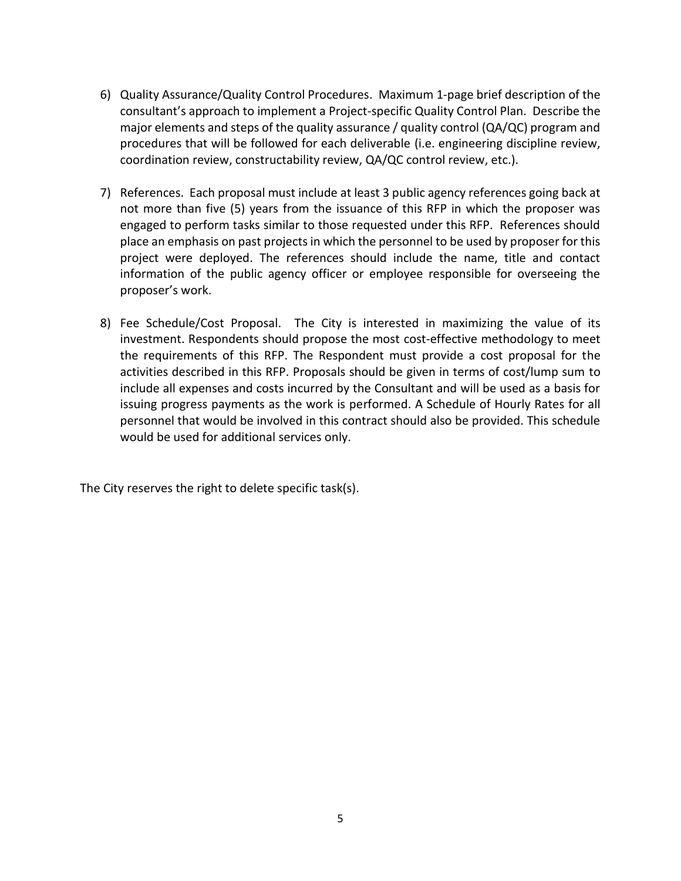- 6) Quality Assurance/Quality Control Procedures. Maximum 1-page brief description of the consultant's approach to implement a Project-specific Quality Control Plan. Describe the major elements and steps of the quality assurance / quality control (QA/QC) program and procedures that will be followed for each deliverable (i.e. engineering discipline review, coordination review, constructability review, QA/QC control review, etc.).
- 7) References. Each proposal must include at least 3 public agency references going back at not more than five (5) years from the issuance of this RFP in which the proposer was engaged to perform tasks similar to those requested under this RFP. References should place an emphasis on past projects in which the personnel to be used by proposer for this project were deployed. The references should include the name, title and contact information of the public agency officer or employee responsible for overseeing the proposer's work.
- 8) Fee Schedule/Cost Proposal. The City is interested in maximizing the value of its investment. Respondents should propose the most cost-effective methodology to meet the requirements of this RFP. The Respondent must provide a cost proposal for the activities described in this RFP. Proposals should be given in terms of cost/lump sum to include all expenses and costs incurred by the Consultant and will be used as a basis for issuing progress payments as the work is performed. A Schedule of Hourly Rates for all personnel that would be involved in this contract should also be provided. This schedule would be used for additional services only.

The City reserves the right to delete specific task(s).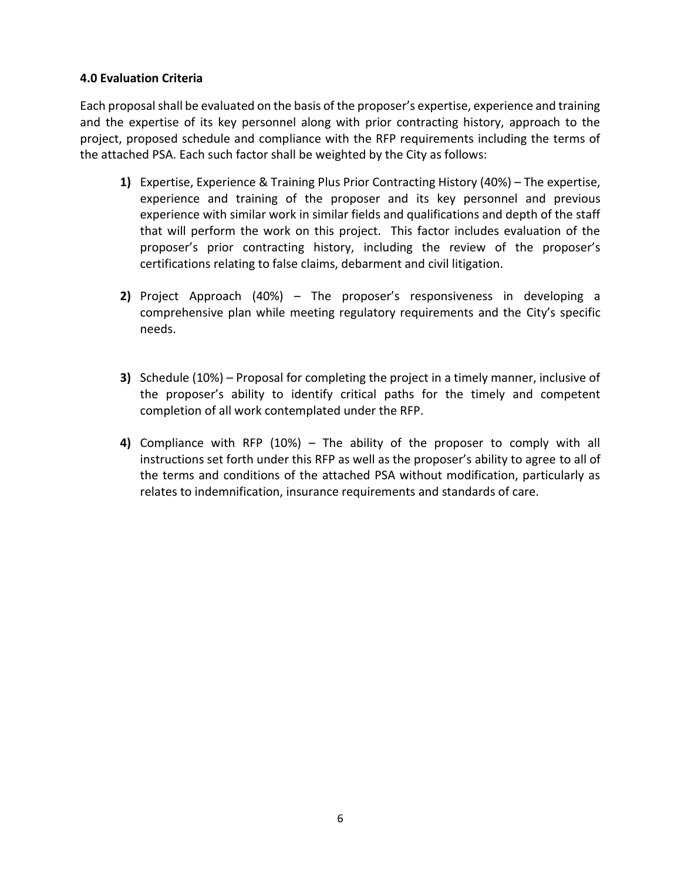#### **4.0 Evaluation Criteria**

Each proposal shall be evaluated on the basis of the proposer's expertise, experience and training and the expertise of its key personnel along with prior contracting history, approach to the project, proposed schedule and compliance with the RFP requirements including the terms of the attached PSA. Each such factor shall be weighted by the City as follows:

- **1)** Expertise, Experience & Training Plus Prior Contracting History (40%) The expertise, experience and training of the proposer and its key personnel and previous experience with similar work in similar fields and qualifications and depth of the staff that will perform the work on this project. This factor includes evaluation of the proposer's prior contracting history, including the review of the proposer's certifications relating to false claims, debarment and civil litigation.
- **2)** Project Approach (40%) The proposer's responsiveness in developing a comprehensive plan while meeting regulatory requirements and the City's specific needs.
- **3)** Schedule (10%) Proposal for completing the project in a timely manner, inclusive of the proposer's ability to identify critical paths for the timely and competent completion of all work contemplated under the RFP.
- **4)** Compliance with RFP (10%) The ability of the proposer to comply with all instructions set forth under this RFP as well as the proposer's ability to agree to all of the terms and conditions of the attached PSA without modification, particularly as relates to indemnification, insurance requirements and standards of care.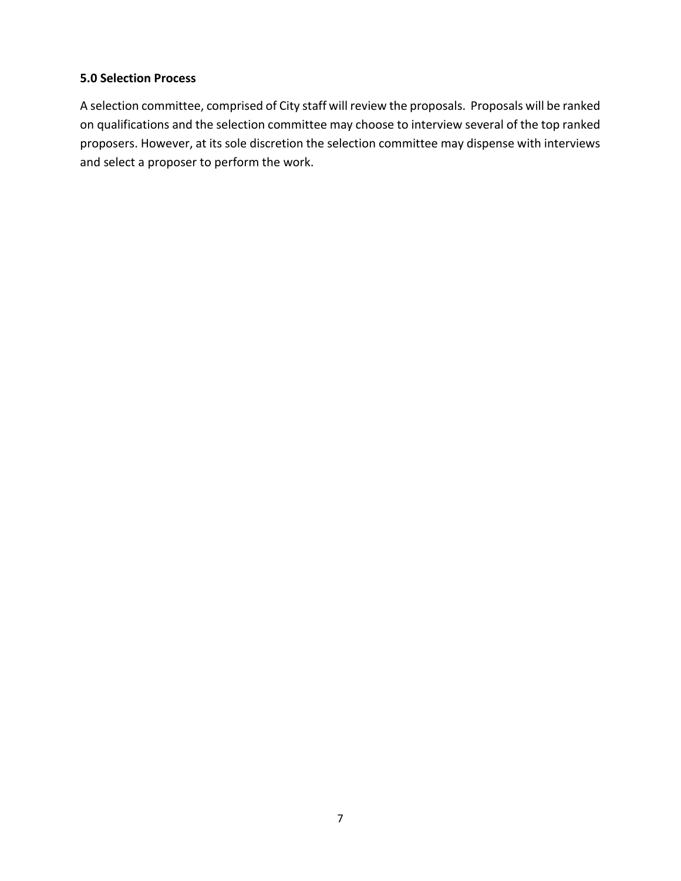#### **5.0 Selection Process**

A selection committee, comprised of City staff will review the proposals. Proposals will be ranked on qualifications and the selection committee may choose to interview several of the top ranked proposers. However, at its sole discretion the selection committee may dispense with interviews and select a proposer to perform the work.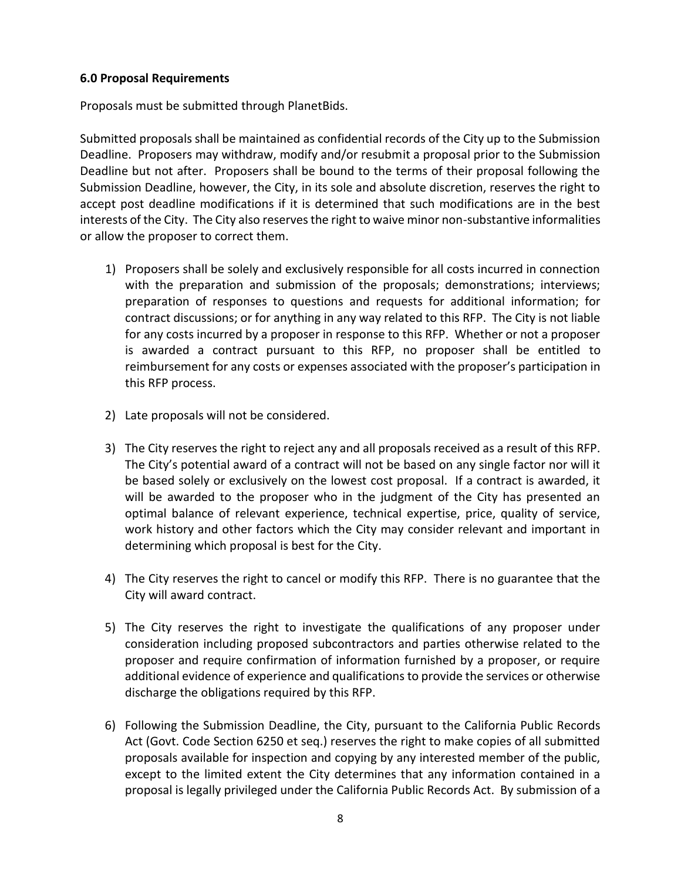#### **6.0 Proposal Requirements**

Proposals must be submitted through PlanetBids.

Submitted proposals shall be maintained as confidential records of the City up to the Submission Deadline. Proposers may withdraw, modify and/or resubmit a proposal prior to the Submission Deadline but not after. Proposers shall be bound to the terms of their proposal following the Submission Deadline, however, the City, in its sole and absolute discretion, reserves the right to accept post deadline modifications if it is determined that such modifications are in the best interests of the City. The City also reserves the right to waive minor non-substantive informalities or allow the proposer to correct them.

- 1) Proposers shall be solely and exclusively responsible for all costs incurred in connection with the preparation and submission of the proposals; demonstrations; interviews; preparation of responses to questions and requests for additional information; for contract discussions; or for anything in any way related to this RFP. The City is not liable for any costs incurred by a proposer in response to this RFP. Whether or not a proposer is awarded a contract pursuant to this RFP, no proposer shall be entitled to reimbursement for any costs or expenses associated with the proposer's participation in this RFP process.
- 2) Late proposals will not be considered.
- 3) The City reserves the right to reject any and all proposals received as a result of this RFP. The City's potential award of a contract will not be based on any single factor nor will it be based solely or exclusively on the lowest cost proposal. If a contract is awarded, it will be awarded to the proposer who in the judgment of the City has presented an optimal balance of relevant experience, technical expertise, price, quality of service, work history and other factors which the City may consider relevant and important in determining which proposal is best for the City.
- 4) The City reserves the right to cancel or modify this RFP. There is no guarantee that the City will award contract.
- 5) The City reserves the right to investigate the qualifications of any proposer under consideration including proposed subcontractors and parties otherwise related to the proposer and require confirmation of information furnished by a proposer, or require additional evidence of experience and qualifications to provide the services or otherwise discharge the obligations required by this RFP.
- 6) Following the Submission Deadline, the City, pursuant to the California Public Records Act (Govt. Code Section 6250 et seq.) reserves the right to make copies of all submitted proposals available for inspection and copying by any interested member of the public, except to the limited extent the City determines that any information contained in a proposal is legally privileged under the California Public Records Act. By submission of a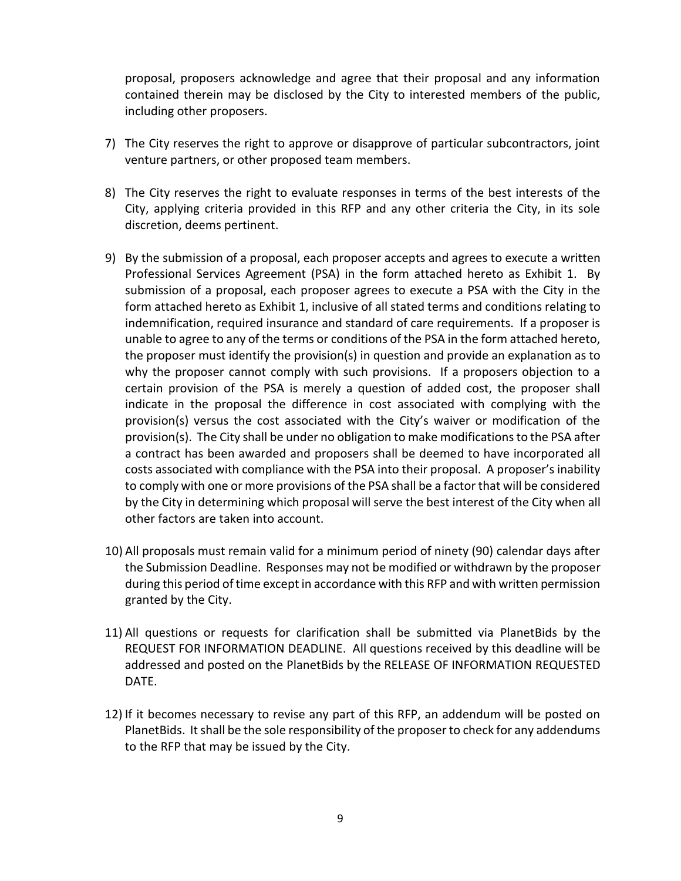proposal, proposers acknowledge and agree that their proposal and any information contained therein may be disclosed by the City to interested members of the public, including other proposers.

- 7) The City reserves the right to approve or disapprove of particular subcontractors, joint venture partners, or other proposed team members.
- 8) The City reserves the right to evaluate responses in terms of the best interests of the City, applying criteria provided in this RFP and any other criteria the City, in its sole discretion, deems pertinent.
- 9) By the submission of a proposal, each proposer accepts and agrees to execute a written Professional Services Agreement (PSA) in the form attached hereto as Exhibit 1. By submission of a proposal, each proposer agrees to execute a PSA with the City in the form attached hereto as Exhibit 1, inclusive of all stated terms and conditions relating to indemnification, required insurance and standard of care requirements. If a proposer is unable to agree to any of the terms or conditions of the PSA in the form attached hereto, the proposer must identify the provision(s) in question and provide an explanation as to why the proposer cannot comply with such provisions. If a proposers objection to a certain provision of the PSA is merely a question of added cost, the proposer shall indicate in the proposal the difference in cost associated with complying with the provision(s) versus the cost associated with the City's waiver or modification of the provision(s). The City shall be under no obligation to make modifications to the PSA after a contract has been awarded and proposers shall be deemed to have incorporated all costs associated with compliance with the PSA into their proposal. A proposer's inability to comply with one or more provisions of the PSA shall be a factor that will be considered by the City in determining which proposal will serve the best interest of the City when all other factors are taken into account.
- 10) All proposals must remain valid for a minimum period of ninety (90) calendar days after the Submission Deadline. Responses may not be modified or withdrawn by the proposer during this period of time except in accordance with this RFP and with written permission granted by the City.
- 11) All questions or requests for clarification shall be submitted via PlanetBids by the REQUEST FOR INFORMATION DEADLINE. All questions received by this deadline will be addressed and posted on the PlanetBids by the RELEASE OF INFORMATION REQUESTED DATE.
- 12) If it becomes necessary to revise any part of this RFP, an addendum will be posted on PlanetBids. It shall be the sole responsibility of the proposer to check for any addendums to the RFP that may be issued by the City.